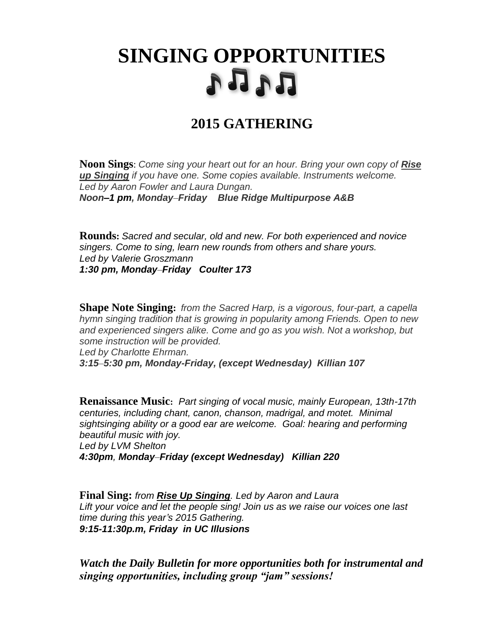## **SINGING OPPORTUNITIES** n n n

## **2015 GATHERING**

**Noon Sings**: *Come sing your heart out for an hour. Bring your own copy of Rise up Singing if you have one. Some copies available. Instruments welcome. Led by Aaron Fowler and Laura Dungan. Noon–1 pm, Monday*–*Friday Blue Ridge Multipurpose A&B*

**Rounds:** *Sacred and secular, old and new. For both experienced and novice singers. Come to sing, learn new rounds from others and share yours. Led by Valerie Groszmann 1:30 pm, Monday*–*Friday Coulter 173*

**Shape Note Singing:** *from the Sacred Harp, is a vigorous, four-part, a capella hymn singing tradition that is growing in popularity among Friends. Open to new and experienced singers alike. Come and go as you wish. Not a workshop, but some instruction will be provided. Led by Charlotte Ehrman. 3:15*–*5:30 pm, Monday-Friday, (except Wednesday) Killian 107*

**Renaissance Music:** *Part singing of vocal music, mainly European, 13th-17th centuries, including chant, canon, chanson, madrigal, and motet. Minimal sightsinging ability or a good ear are welcome. Goal: hearing and performing beautiful music with joy. Led by LVM Shelton 4:30pm, Monday*–*Friday (except Wednesday) Killian 220*

**Final Sing:** *from Rise Up Singing. Led by Aaron and Laura Lift your voice and let the people sing! Join us as we raise our voices one last time during this year's 2015 Gathering. 9:15-11:30p.m, Friday in UC Illusions*

*Watch the Daily Bulletin for more opportunities both for instrumental and singing opportunities, including group "jam" sessions!*